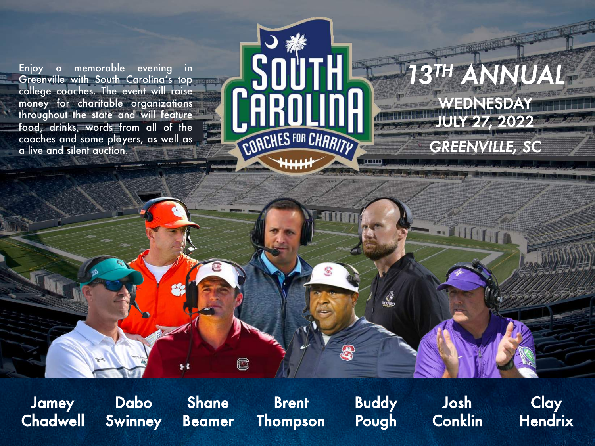Enjoy a memorable evening in Greenville with South Carolina's top college coaches. The event will raise money for charitable organizations throughout the state and will feature food, drinks, words from all of the coaches and some players, as well as a live and silent auction.



# WEDNESDAY JULY 27, 2022 *13TH ANNUAL GREENVILLE, SC*

Jamey **Chadwell** 

Dabo **Swinney** 

Shane Beamer

C

**Brent** Thompson Buddy Pough

Josh **Conklin** 

**Clay Hendrix**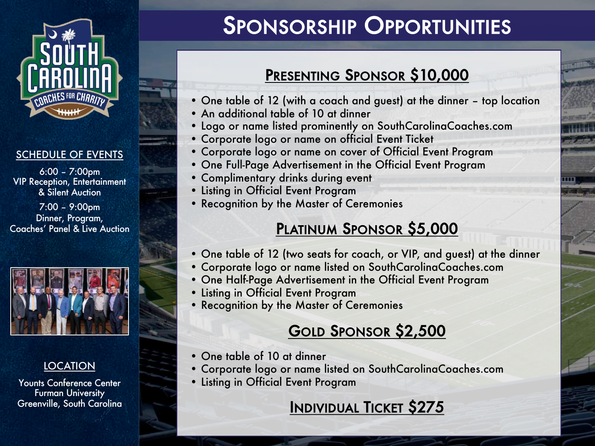

#### SCHEDULE OF EVENTS

6:00 – 7:00pm VIP Reception, Entertainment & Silent Auction

7:00 – 9:00pm Dinner, Program, Coaches' Panel & Live Auction



### **LOCATION**

Younts Conference Center **Furman University** Greenville, South Carolina

# SPONSORSHIP OPPORTUNITIES

## PRESENTING SPONSOR \$10,000

- One table of 12 (with a coach and guest) at the dinner top location
- An additional table of 10 at dinner
- Logo or name listed prominently on SouthCarolinaCoaches.com
- Corporate logo or name on official Event Ticket
- Corporate logo or name on cover of Official Event Program
- One Full-Page Advertisement in the Official Event Program
- Complimentary drinks during event
- Listing in Official Event Program
- Recognition by the Master of Ceremonies

### PLATINUM SPONSOR \$5,000

- One table of 12 (two seats for coach, or VIP, and guest) at the dinner
- Corporate logo or name listed on SouthCarolinaCoaches.com
- One Half-Page Advertisement in the Official Event Program
- Listing in Official Event Program
- Recognition by the Master of Ceremonies

## GOLD SPONSOR \$2,500

- One table of 10 at dinner
- Corporate logo or name listed on SouthCarolinaCoaches.com
- Listing in Official Event Program

### INDIVIDUAL TICKET \$275